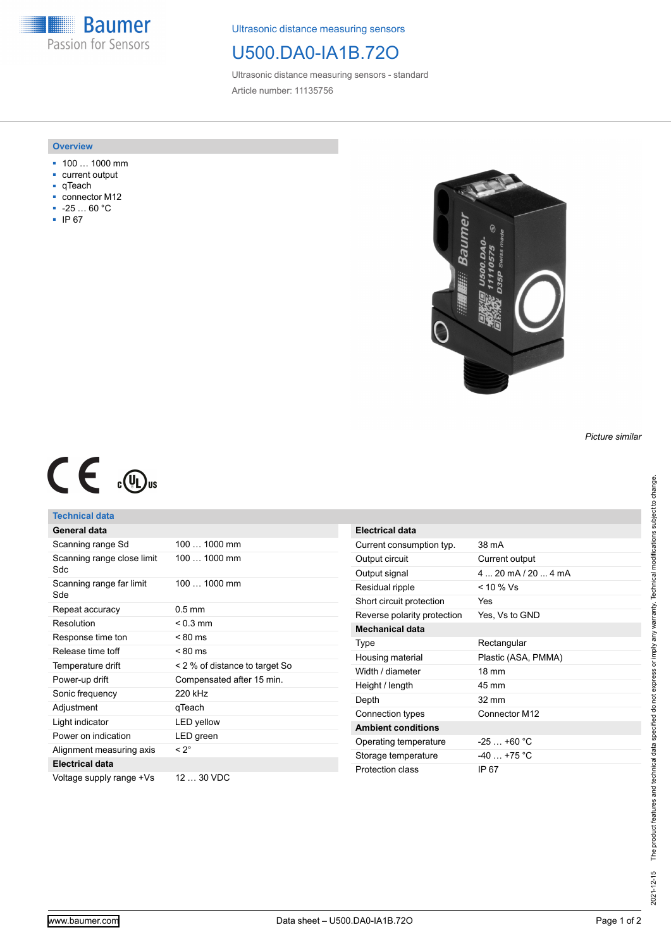**Baumer** Passion for Sensors

Ultrasonic distance measuring sensors

## U500.DA0-IA1B.72O

Ultrasonic distance measuring sensors - standard Article number: 11135756

#### **Overview**

- 100 … 1000 mm
- current output
- qTeach
- connector M12 ■ -25 … 60 °C
- IP 67



*Picture similar*

# $C \in \mathbb{C}$

## **Technical data**

| General data                       |                                |
|------------------------------------|--------------------------------|
| Scanning range Sd                  | 100  1000 mm                   |
| Scanning range close limit<br>Sdc. | 100  1000 mm                   |
| Scanning range far limit<br>Sde    | 100  1000 mm                   |
| Repeat accuracy                    | $0.5$ mm                       |
| Resolution                         | $< 0.3$ mm                     |
| Response time ton                  | $< 80 \text{ ms}$              |
| Release time toff                  | $< 80 \text{ ms}$              |
| Temperature drift                  | < 2 % of distance to target So |
| Power-up drift                     | Compensated after 15 min.      |
| Sonic frequency                    | 220 kHz                        |
| Adjustment                         | qTeach                         |
| Light indicator                    | LED yellow                     |
| Power on indication                | LED green                      |
| Alignment measuring axis           | $< 2^{\circ}$                  |
| <b>Electrical data</b>             |                                |
| Voltage supply range +Vs           | 12  30 VDC                     |

| <b>Electrical data</b>      |                                     |
|-----------------------------|-------------------------------------|
| Current consumption typ.    | 38 mA                               |
| Output circuit              | Current output                      |
| Output signal               | $4 \dots 20$ mA $/$ 20 $\dots$ 4 mA |
| Residual ripple             | < 10 % Vs                           |
| Short circuit protection    | Yes                                 |
| Reverse polarity protection | Yes, Vs to GND                      |
| <b>Mechanical data</b>      |                                     |
| Type                        | Rectangular                         |
| Housing material            | Plastic (ASA, PMMA)                 |
| Width / diameter            | $18 \text{ mm}$                     |
| Height / length             | 45 mm                               |
| Depth                       | $32 \text{ mm}$                     |
| Connection types            | Connector M12                       |
| <b>Ambient conditions</b>   |                                     |
| Operating temperature       | $-25+60 °C$                         |
| Storage temperature         | $-40 + 75$ °C                       |
| Protection class            | IP 67                               |